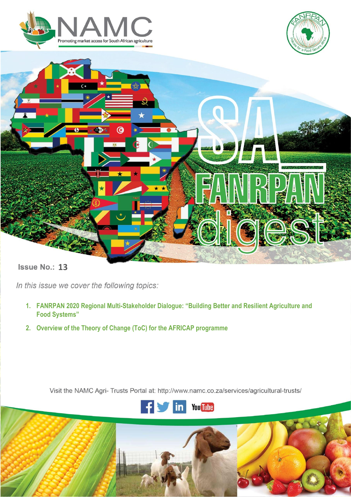





**13**<br>**13** 

In this issue we cover the following topics:

- **1. FANRPAN 2020 Regional Multi-Stakeholder Dialogue: "Building Better and Resilient Agriculture and Food Systems"**
- **2. Overview of the Theory of Change (ToC) for the AFRICAP programme**

Visit the NAMC Agri- Trusts Portal at: http://www.namc.co.za/services/agricultural-trusts/



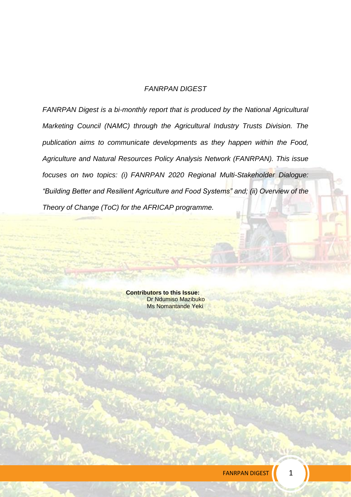# *FANRPAN DIGEST*

*FANRPAN Digest is a bi-monthly report that is produced by the National Agricultural Marketing Council (NAMC) through the Agricultural Industry Trusts Division. The publication aims to communicate developments as they happen within the Food, Agriculture and Natural Resources Policy Analysis Network (FANRPAN). This issue focuses on two topics: (i) FANRPAN 2020 Regional Multi-Stakeholder Dialogue: "Building Better and Resilient Agriculture and Food Systems" and; (ii) Overview of the Theory of Change (ToC) for the AFRICAP programme.*

> **Contributors to this Issue:** Dr Ndumiso Mazibuko Ms Nomantande Yeki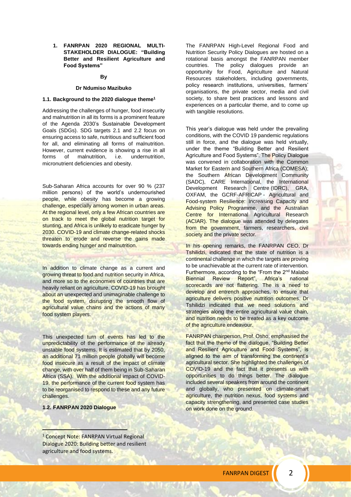**1. FANRPAN 2020 REGIONAL MULTI-STAKEHOLDER DIALOGUE: "Building Better and Resilient Agriculture and Food Systems"**

### **By**

#### **Dr Ndumiso Mazibuko**

# **1.1. Background to the 2020 dialogue theme<sup>1</sup>**

Addressing the challenges of hunger, food insecurity and malnutrition in all its forms is a prominent feature of the Agenda 2030's Sustainable Development Goals (SDGs). SDG targets 2.1 and 2.2 focus on ensuring access to safe, nutritious and sufficient food for all, and eliminating all forms of malnutrition. However, current evidence is showing a rise in all forms of malnutrition, i.e. undernutrition, micronutrient deficiencies and obesity.

Sub-Saharan Africa accounts for over 90 % (237 million persons) of the world's undernourished people, while obesity has become a growing challenge, especially among women in urban areas. At the regional level, only a few African countries are on track to meet the global nutrition target for stunting, and Africa is unlikely to eradicate hunger by 2030. COVID-19 and climate change-related shocks threaten to erode and reverse the gains made towards ending hunger and malnutrition.

In addition to climate change as a current and growing threat to food and nutrition security in Africa, and more so to the economies of countries that are heavily reliant on agriculture, COVID-19 has brought about an unexpected and unimaginable challenge to the food system, disrupting the smooth flow of agricultural value chains and the actions of many food system players.

This unexpected turn of events has led to the unpredictability of the performance of the already unstable food systems. It is estimated that by 2050, an additional 71 million people globally will become food insecure as a result of the impact of climate change, with over half of them being in Sub-Saharan Africa (SSA). With the additional impact of COVID-19, the performance of the current food system has to be reorganised to respond to these and any future challenges.

#### **1.2. FANRPAN 2020 Dialogue**

The FANRPAN High-Level Regional Food and Nutrition Security Policy Dialogues are hosted on a rotational basis amongst the FANRPAN member countries. The policy dialogues provide an opportunity for Food, Agriculture and Natural Resources stakeholders, including governments, policy research institutions, universities, farmers' organisations, the private sector, media and civil society, to share best practices and lessons and experiences on a particular theme, and to come up with tangible resolutions.

This year's dialogue was held under the prevailing conditions, with the COVID 19 pandemic regulations still in force, and the dialogue was held virtually, under the theme "Building Better and Resilient Agriculture and Food Systems". The Policy Dialogue was convened in collaboration with the Common Market for Eastern and Southern Africa (COMESA); the Southern African Development Community (SADC), CARE International, the International Development Research Centre (IDRC), GRA, OXFAM, the GCRF-AFRICAP - Agricultural and Food-system Resilience: Increasing Capacity and Advising Policy Programme, and the Australian Centre for International Agricultural Research (ACIAR). The dialogue was attended by delegates from the government, farmers, researchers, civil society and the private sector.

In his opening remarks, the FANRPAN CEO, Dr Tshilidzi, indicated that the state of nutrition is a continental challenge in which the targets are proving to be unachievable at the current rate of intervention. Furthermore, according to the "From the 2<sup>nd</sup> Malabo Biennial Review Report", Africa's national scorecards are not flattering. The is a need to develop and entrench approaches, to ensure that agriculture delivers positive nutrition outcomes. Dr Tshilidzi indicated that we need solutions and strategies along the entire agricultural value chain, and nutrition needs to be treated as a key outcome of the agriculture endeavour.

FANRPAN chairperson, Prof. Osho, emphasised the fact that the theme of the dialogue, "Building Better and Resilient Agriculture and Food Systems", is aligned to the aim of transforming the continent's agricultural sector. She highlighted the challenges of COVID-19 and the fact that it presents us with opportunities to do things better. The dialogue included several speakers from around the continent and globally, who presented on climate-smart agriculture, the nutrition nexus, food systems and capacity strengthening, and presented case studies on work done on the ground.

<sup>1</sup> Concept Note: FANRPAN Virtual Regional Dialogue 2020: Building better and resilient agriculture and food systems.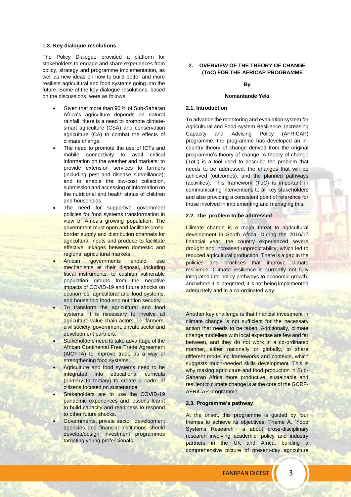#### **1.3. Key dialogue resolutions**

The Policy Dialogue provided a platform for stakeholders to engage and share experiences from policy, strategy and programme implementation, as well as new ideas on how to build better and more resilient agricultural and food systems going into the future. Some of the key dialogue resolutions, based on the discussions, were as follows:

- Given that more than 90 % of Sub-Saharan Africa's agriculture depends on natural rainfall, there is a need to promote climatesmart agriculture (CSA) and conservation agriculture (CA) to combat the effects of climate change.
- The need to promote the use of ICTs and mobile connectivity to avail critical information on the weather and markets; to provide extension services to farmers (including pest and disease surveillance); and to enable the low-cost collection, submission and accessing of information on the nutritional and health status of children and households.
- The need for supportive government policies for food systems transformation in view of Africa's growing population: The government must open and facilitate crossborder supply and distribution channels for agricultural inputs and produce to facilitate effective linkages between domestic and regional agricultural markets.
- **African** governments should use mechanisms at their disposal, including fiscal instruments, to cushion vulnerable population groups from the negative impacts of COVID-19 and future shocks on economies, agricultural and food systems, and household food and nutrition security.
- To transform the agricultural and food systems, it is necessary to involve all agriculture value chain actors, i.e. farmers, civil society, government, private sector and development partners.
- Stakeholders need to take advantage of the African Continental Free Trade Agreement (AfCFTA) to improve trade as a way of strengthening food systems.
- Agriculture and food systems need to be integrated into educational curricula (primary to tertiary) to create a cadre of citizens focused on sustenance.
- Stakeholders are to use the COVID-19 pandemic experiences and lessons learnt to build capacity and readiness to respond to other future shocks.
- Governments, private sector, development agencies and financial institutions should develop/design investment programmes targeting young professionals

# **2. OVERVIEW OF THE THEORY OF CHANGE (ToC) FOR THE AFRICAP PROGRAMME**

# **By**

#### **Nomantande Yeki**

# **2.1. Introduction**

To advance the monitoring and evaluation system for Agricultural and Food-system Resilience: Increasing Capacity and Advising Policy (AFRICAP) programme, the programme has developed an incountry theory of change derived from the original programme's theory of change. A theory of change (ToC) is a tool used to describe the problem that needs to be addressed, the changes that will be achieved (outcomes), and the planned pathways (activities). This framework (ToC) is important in communicating interventions to all key stakeholders and also providing a consistent point of reference for those involved in implementing and managing this.

### **2.2. The problem to be addressed**

Climate change is a major threat to agricultural development in South Africa. During the 2016/17 financial year, the country experienced severe drought and increased unpredictability, which led to reduced agricultural production. There is a gap in the policies and practices that improve climate resilience. Climate resilience is currently not fully integrated into policy pathways to economic growth, and where it is integrated, it is not being implemented adequately and in a co-ordinated way.

Another key challenge is that financial investment in climate change is not sufficient for the necessary action that needs to be taken. Additionally, climate change modellers with local expertise are few and far between, and they do not work in a co-ordinated manner, either nationally or globally, to share different modelling frameworks and contexts, which suggests much-needed skills development. This is why making agriculture and food production in Sub-Saharan Africa more productive, sustainable and resilient to climate change is at the core of the GCRF-AFRICAP programme.

## **2.3. Programme's pathway**

At the onset, this programme is guided by four themes to achieve its objectives: Theme A, "Food Systems Research", is about cross-disciplinary research involving academic, policy and industry partners in the UK and Africa, building a comprehensive picture of present-day agriculture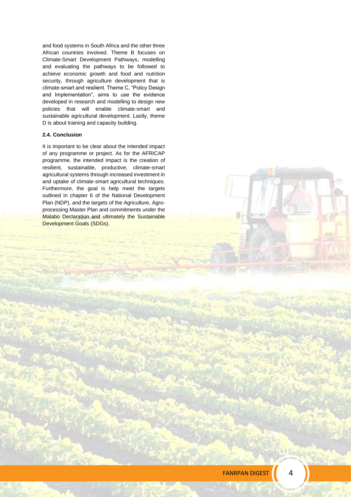and food systems in South Africa and the other three African countries involved. Theme B focuses on Climate-Smart Development Pathways, modelling and evaluating the pathways to be followed to achieve economic growth and food and nutrition security, through agriculture development that is climate-smart and resilient. Theme C, "Policy Design and Implementation", aims to use the evidence developed in research and modelling to design new policies that will enable climate-smart and sustainable agricultural development. Lastly, theme D is about training and capacity building.

### **2.4. Conclusion**

It is important to be clear about the intended impact of any programme or project. As for the AFRICAP programme, the intended impact is the creation of resilient, sustainable, productive, climate-smart agricultural systems through increased investment in and uptake of climate-smart agricultural techniques. Furthermore, the goal is help meet the targets outlined in chapter 6 of the National Development Plan (NDP), and the targets of the Agriculture, Agroprocessing Master Plan and commitments under the Malabo Declaration and ultimately the Sustainable Development Goals (SDGs).